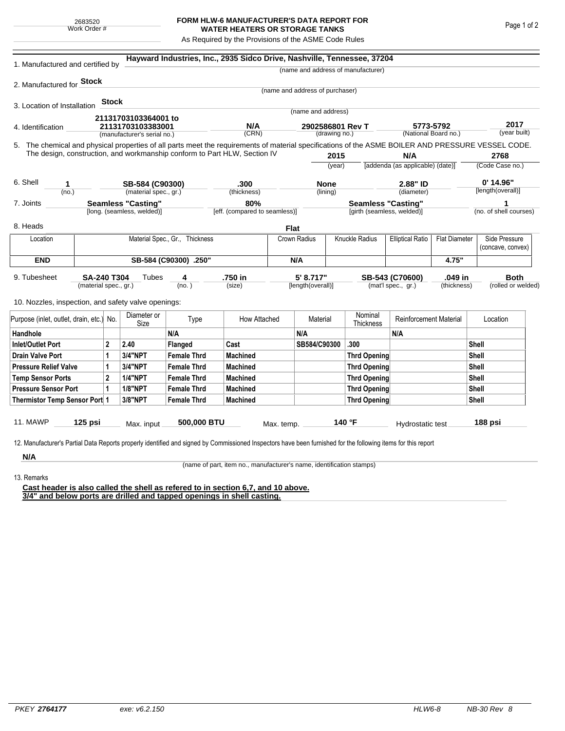## **FORM HLW-6 MANUFACTURER'S DATA REPORT FOR WATER HEATERS OR STORAGE TANKS**

As Required by the Provisions of the ASME Code Rules

| 1. Manufactured and certified by                                                                                                                              |         |              |                             |                                      | Hayward Industries, Inc., 2935 Sidco Drive, Nashville, Tennessee, 37204   |              |                                   |                                                         |                                                  |                                                                 |                      |                                  |                                    |  |
|---------------------------------------------------------------------------------------------------------------------------------------------------------------|---------|--------------|-----------------------------|--------------------------------------|---------------------------------------------------------------------------|--------------|-----------------------------------|---------------------------------------------------------|--------------------------------------------------|-----------------------------------------------------------------|----------------------|----------------------------------|------------------------------------|--|
|                                                                                                                                                               |         |              |                             |                                      |                                                                           |              |                                   |                                                         | (name and address of manufacturer)               |                                                                 |                      |                                  |                                    |  |
| 2. Manufactured for <b>Stock</b>                                                                                                                              |         |              |                             |                                      |                                                                           |              |                                   |                                                         |                                                  |                                                                 |                      |                                  |                                    |  |
|                                                                                                                                                               |         |              |                             |                                      |                                                                           |              | (name and address of purchaser)   |                                                         |                                                  |                                                                 |                      |                                  |                                    |  |
| 3. Location of Installation                                                                                                                                   |         | <b>Stock</b> |                             |                                      |                                                                           |              | (name and address)                |                                                         |                                                  |                                                                 |                      |                                  |                                    |  |
|                                                                                                                                                               |         |              | 21131703103364001 to        |                                      |                                                                           |              |                                   |                                                         |                                                  |                                                                 |                      |                                  |                                    |  |
| 4. Identification                                                                                                                                             |         |              | 21131703103383001           |                                      | N/A<br>(CRN)                                                              |              | 2902586801 Rev T<br>(drawing no.) |                                                         |                                                  | 5773-5792<br>(National Board no.)                               |                      | 2017<br>(year built)             |                                    |  |
|                                                                                                                                                               |         |              | (manufacturer's serial no.) |                                      |                                                                           |              |                                   |                                                         |                                                  |                                                                 |                      |                                  |                                    |  |
| 5. The chemical and physical properties of all parts meet the requirements of material specifications of the ASME BOILER AND PRESSURE VESSEL CODE.            |         |              |                             |                                      | The design, construction, and workmanship conform to Part HLW, Section IV |              |                                   |                                                         |                                                  | N/A                                                             |                      |                                  | 2768                               |  |
|                                                                                                                                                               |         |              |                             |                                      |                                                                           |              | 2015<br>(year)                    |                                                         | [addenda (as applicable) (date)]                 |                                                                 | (Code Case no.)      |                                  |                                    |  |
|                                                                                                                                                               |         |              |                             |                                      |                                                                           |              |                                   |                                                         |                                                  |                                                                 |                      |                                  |                                    |  |
| 6. Shell<br>1                                                                                                                                                 |         |              | SB-584 (C90300)             |                                      | .300                                                                      |              | <b>None</b>                       |                                                         |                                                  | 2.88" ID                                                        |                      | $0'$ 14.96"<br>[length(overall)] |                                    |  |
|                                                                                                                                                               | (no.)   |              |                             | (material spec., gr.)                |                                                                           | (thickness)  |                                   | (lining)                                                |                                                  | (diameter)                                                      |                      |                                  |                                    |  |
| <b>Seamless "Casting"</b><br>7. Joints<br>[long. (seamless, welded)]                                                                                          |         |              |                             | 80%<br>[eff. (compared to seamless)] |                                                                           |              |                                   | <b>Seamless "Casting"</b><br>[girth (seamless, welded)] |                                                  |                                                                 |                      |                                  | (no. of shell courses)             |  |
|                                                                                                                                                               |         |              |                             |                                      |                                                                           |              |                                   |                                                         |                                                  |                                                                 |                      |                                  |                                    |  |
| 8. Heads                                                                                                                                                      |         |              |                             |                                      |                                                                           |              | Flat                              |                                                         |                                                  |                                                                 |                      |                                  |                                    |  |
| Location                                                                                                                                                      |         |              |                             | Material Spec., Gr., Thickness       |                                                                           | Crown Radius |                                   |                                                         | <b>Knuckle Radius</b><br><b>Elliptical Ratio</b> |                                                                 | <b>Flat Diameter</b> |                                  | Side Pressure<br>(concave, convex) |  |
| <b>END</b>                                                                                                                                                    |         |              |                             | SB-584 (C90300) .250"                |                                                                           |              |                                   | N/A                                                     |                                                  |                                                                 | 4.75"                |                                  |                                    |  |
| 9. Tubesheet<br>SA-240 T304<br>(material spec., gr.)                                                                                                          |         |              | Tubes                       | 4<br>(no. )                          | .750 in<br>(size)                                                         |              | 5' 8.717"<br>[length(overall)]    |                                                         |                                                  | SB-543 (C70600)<br>.049 in<br>(mat'l spec., gr.)<br>(thickness) |                      |                                  | <b>Both</b><br>(rolled or welded)  |  |
|                                                                                                                                                               |         |              |                             |                                      |                                                                           |              |                                   |                                                         |                                                  |                                                                 |                      |                                  |                                    |  |
| 10. Nozzles, inspection, and safety valve openings:                                                                                                           |         |              |                             |                                      |                                                                           |              |                                   |                                                         |                                                  |                                                                 |                      |                                  |                                    |  |
| Purpose (inlet, outlet, drain, etc.) No.                                                                                                                      |         |              | Diameter or<br>Size         | Type                                 | How Attached                                                              |              | Material                          |                                                         | Nominal<br>Thickness                             | <b>Reinforcement Material</b>                                   |                      | Location                         |                                    |  |
| Handhole                                                                                                                                                      |         |              |                             | N/A                                  |                                                                           |              | N/A                               |                                                         |                                                  | N/A                                                             |                      |                                  |                                    |  |
| $\overline{2}$<br><b>Inlet/Outlet Port</b>                                                                                                                    |         | 2.40         | Flanged                     | Cast                                 |                                                                           | SB584/C90300 |                                   | .300                                                    |                                                  |                                                                 | Shell                |                                  |                                    |  |
| <b>Drain Valve Port</b><br>1                                                                                                                                  |         | 3/4"NPT      | <b>Female Thrd</b>          | <b>Machined</b>                      |                                                                           |              |                                   | <b>Thrd Opening</b>                                     |                                                  |                                                                 |                      | Shell                            |                                    |  |
| <b>Pressure Relief Valve</b><br>1                                                                                                                             |         | 3/4"NPT      | <b>Female Thrd</b>          | <b>Machined</b>                      |                                                                           |              |                                   | Thrd Opening                                            |                                                  |                                                                 |                      | Shell                            |                                    |  |
| $\overline{2}$<br><b>Temp Sensor Ports</b>                                                                                                                    |         |              | <b>1/4"NPT</b>              | <b>Female Thrd</b>                   | <b>Machined</b>                                                           |              |                                   |                                                         | Thrd Opening                                     |                                                                 |                      |                                  | Shell                              |  |
| <b>Pressure Sensor Port</b><br>1                                                                                                                              |         |              | <b>1/8"NPT</b>              | <b>Female Thrd</b>                   | <b>Machined</b>                                                           |              |                                   |                                                         |                                                  | Thrd Opening                                                    |                      | Shell                            |                                    |  |
| Thermistor Temp Sensor Port 1                                                                                                                                 |         |              | 3/8"NPT                     | <b>Female Thrd</b>                   | <b>Machined</b>                                                           |              |                                   |                                                         | Thrd Opening                                     |                                                                 | Shell                |                                  |                                    |  |
| 11. MAWP                                                                                                                                                      | 125 psi |              | Max. input                  | 500,000 BTU                          |                                                                           | Max. temp.   |                                   |                                                         | 140 °F                                           | Hydrostatic test                                                |                      |                                  | 188 psi                            |  |
|                                                                                                                                                               |         |              |                             |                                      |                                                                           |              |                                   |                                                         |                                                  |                                                                 |                      |                                  |                                    |  |
| 12. Manufacturer's Partial Data Reports properly identified and signed by Commissioned Inspectors have been furnished for the following items for this report |         |              |                             |                                      |                                                                           |              |                                   |                                                         |                                                  |                                                                 |                      |                                  |                                    |  |
| N/A                                                                                                                                                           |         |              |                             |                                      |                                                                           |              |                                   |                                                         |                                                  |                                                                 |                      |                                  |                                    |  |

(name of part, item no., manufacturer's name, identification stamps)

13. Remarks

**Cast header is also called the shell as refered to in section 6,7, and 10 above. 3/4" and below ports are drilled and tapped openings in shell casting.**